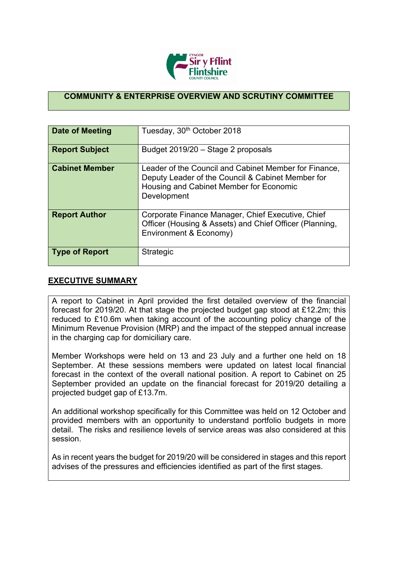

## **COMMUNITY & ENTERPRISE OVERVIEW AND SCRUTINY COMMITTEE**

| Date of Meeting       | Tuesday, 30 <sup>th</sup> October 2018                                                                                                                               |
|-----------------------|----------------------------------------------------------------------------------------------------------------------------------------------------------------------|
| <b>Report Subject</b> | Budget 2019/20 - Stage 2 proposals                                                                                                                                   |
| <b>Cabinet Member</b> | Leader of the Council and Cabinet Member for Finance,<br>Deputy Leader of the Council & Cabinet Member for<br>Housing and Cabinet Member for Economic<br>Development |
| <b>Report Author</b>  | Corporate Finance Manager, Chief Executive, Chief<br>Officer (Housing & Assets) and Chief Officer (Planning,<br>Environment & Economy)                               |
| <b>Type of Report</b> | Strategic                                                                                                                                                            |

## **EXECUTIVE SUMMARY**

A report to Cabinet in April provided the first detailed overview of the financial forecast for 2019/20. At that stage the projected budget gap stood at £12.2m; this reduced to £10.6m when taking account of the accounting policy change of the Minimum Revenue Provision (MRP) and the impact of the stepped annual increase in the charging cap for domiciliary care.

Member Workshops were held on 13 and 23 July and a further one held on 18 September. At these sessions members were updated on latest local financial forecast in the context of the overall national position. A report to Cabinet on 25 September provided an update on the financial forecast for 2019/20 detailing a projected budget gap of £13.7m.

An additional workshop specifically for this Committee was held on 12 October and provided members with an opportunity to understand portfolio budgets in more detail. The risks and resilience levels of service areas was also considered at this session.

As in recent years the budget for 2019/20 will be considered in stages and this report advises of the pressures and efficiencies identified as part of the first stages.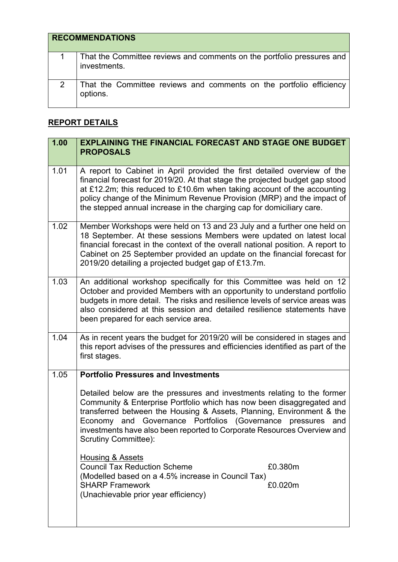| <b>RECOMMENDATIONS</b> |                                                                                        |
|------------------------|----------------------------------------------------------------------------------------|
|                        | That the Committee reviews and comments on the portfolio pressures and<br>investments. |
|                        | That the Committee reviews and comments on the portfolio efficiency<br>options.        |

## **REPORT DETAILS**

| 1.00 | <b>EXPLAINING THE FINANCIAL FORECAST AND STAGE ONE BUDGET</b><br><b>PROPOSALS</b>                                                                                                                                                                                                                                                                                                                        |
|------|----------------------------------------------------------------------------------------------------------------------------------------------------------------------------------------------------------------------------------------------------------------------------------------------------------------------------------------------------------------------------------------------------------|
| 1.01 | A report to Cabinet in April provided the first detailed overview of the<br>financial forecast for 2019/20. At that stage the projected budget gap stood<br>at £12.2m; this reduced to £10.6m when taking account of the accounting<br>policy change of the Minimum Revenue Provision (MRP) and the impact of<br>the stepped annual increase in the charging cap for domiciliary care.                   |
| 1.02 | Member Workshops were held on 13 and 23 July and a further one held on<br>18 September. At these sessions Members were updated on latest local<br>financial forecast in the context of the overall national position. A report to<br>Cabinet on 25 September provided an update on the financial forecast for<br>2019/20 detailing a projected budget gap of £13.7m.                                     |
| 1.03 | An additional workshop specifically for this Committee was held on 12<br>October and provided Members with an opportunity to understand portfolio<br>budgets in more detail. The risks and resilience levels of service areas was<br>also considered at this session and detailed resilience statements have<br>been prepared for each service area.                                                     |
| 1.04 | As in recent years the budget for 2019/20 will be considered in stages and<br>this report advises of the pressures and efficiencies identified as part of the<br>first stages.                                                                                                                                                                                                                           |
| 1.05 | <b>Portfolio Pressures and Investments</b>                                                                                                                                                                                                                                                                                                                                                               |
|      | Detailed below are the pressures and investments relating to the former<br>Community & Enterprise Portfolio which has now been disaggregated and<br>transferred between the Housing & Assets, Planning, Environment & the<br>Economy and Governance Portfolios (Governance<br>pressures<br>and<br>investments have also been reported to Corporate Resources Overview and<br><b>Scrutiny Committee):</b> |
|      | Housing & Assets<br><b>Council Tax Reduction Scheme</b><br>£0.380m<br>(Modelled based on a 4.5% increase in Council Tax)<br><b>SHARP Framework</b><br>£0.020m<br>(Unachievable prior year efficiency)                                                                                                                                                                                                    |
|      |                                                                                                                                                                                                                                                                                                                                                                                                          |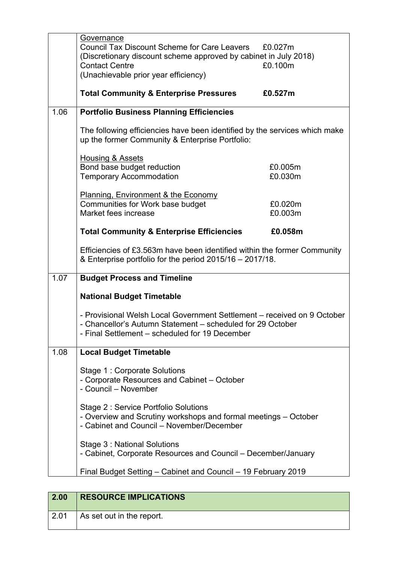| <b>Council Tax Discount Scheme for Care Leavers</b><br>£0.027m<br>(Discretionary discount scheme approved by cabinet in July 2018)<br><b>Contact Centre</b><br>£0.100m<br>(Unachievable prior year efficiency)<br><b>Total Community &amp; Enterprise Pressures</b><br>£0.527m<br>1.06<br><b>Portfolio Business Planning Efficiencies</b><br>The following efficiencies have been identified by the services which make<br>up the former Community & Enterprise Portfolio:<br><b>Housing &amp; Assets</b><br>Bond base budget reduction<br>£0.005m<br><b>Temporary Accommodation</b><br>£0.030m<br><b>Planning, Environment &amp; the Economy</b><br>Communities for Work base budget<br>£0.020m<br>Market fees increase<br>£0.003m<br><b>Total Community &amp; Enterprise Efficiencies</b><br>£0.058m<br>Efficiencies of £3.563m have been identified within the former Community<br>& Enterprise portfolio for the period 2015/16 - 2017/18.<br>1.07<br><b>Budget Process and Timeline</b><br><b>National Budget Timetable</b><br>- Provisional Welsh Local Government Settlement – received on 9 October<br>- Chancellor's Autumn Statement - scheduled for 29 October<br>- Final Settlement - scheduled for 19 December<br>1.08<br><b>Local Budget Timetable</b><br>Stage 1: Corporate Solutions<br>- Corporate Resources and Cabinet - October<br>- Council - November<br>Stage 2: Service Portfolio Solutions<br>- Overview and Scrutiny workshops and formal meetings – October<br>- Cabinet and Council - November/December<br>Stage 3: National Solutions | Governance |  |
|--------------------------------------------------------------------------------------------------------------------------------------------------------------------------------------------------------------------------------------------------------------------------------------------------------------------------------------------------------------------------------------------------------------------------------------------------------------------------------------------------------------------------------------------------------------------------------------------------------------------------------------------------------------------------------------------------------------------------------------------------------------------------------------------------------------------------------------------------------------------------------------------------------------------------------------------------------------------------------------------------------------------------------------------------------------------------------------------------------------------------------------------------------------------------------------------------------------------------------------------------------------------------------------------------------------------------------------------------------------------------------------------------------------------------------------------------------------------------------------------------------------------------------------------------------------------|------------|--|
|                                                                                                                                                                                                                                                                                                                                                                                                                                                                                                                                                                                                                                                                                                                                                                                                                                                                                                                                                                                                                                                                                                                                                                                                                                                                                                                                                                                                                                                                                                                                                                    |            |  |
|                                                                                                                                                                                                                                                                                                                                                                                                                                                                                                                                                                                                                                                                                                                                                                                                                                                                                                                                                                                                                                                                                                                                                                                                                                                                                                                                                                                                                                                                                                                                                                    |            |  |
|                                                                                                                                                                                                                                                                                                                                                                                                                                                                                                                                                                                                                                                                                                                                                                                                                                                                                                                                                                                                                                                                                                                                                                                                                                                                                                                                                                                                                                                                                                                                                                    |            |  |
|                                                                                                                                                                                                                                                                                                                                                                                                                                                                                                                                                                                                                                                                                                                                                                                                                                                                                                                                                                                                                                                                                                                                                                                                                                                                                                                                                                                                                                                                                                                                                                    |            |  |
|                                                                                                                                                                                                                                                                                                                                                                                                                                                                                                                                                                                                                                                                                                                                                                                                                                                                                                                                                                                                                                                                                                                                                                                                                                                                                                                                                                                                                                                                                                                                                                    |            |  |
|                                                                                                                                                                                                                                                                                                                                                                                                                                                                                                                                                                                                                                                                                                                                                                                                                                                                                                                                                                                                                                                                                                                                                                                                                                                                                                                                                                                                                                                                                                                                                                    |            |  |
|                                                                                                                                                                                                                                                                                                                                                                                                                                                                                                                                                                                                                                                                                                                                                                                                                                                                                                                                                                                                                                                                                                                                                                                                                                                                                                                                                                                                                                                                                                                                                                    |            |  |
|                                                                                                                                                                                                                                                                                                                                                                                                                                                                                                                                                                                                                                                                                                                                                                                                                                                                                                                                                                                                                                                                                                                                                                                                                                                                                                                                                                                                                                                                                                                                                                    |            |  |
|                                                                                                                                                                                                                                                                                                                                                                                                                                                                                                                                                                                                                                                                                                                                                                                                                                                                                                                                                                                                                                                                                                                                                                                                                                                                                                                                                                                                                                                                                                                                                                    |            |  |
|                                                                                                                                                                                                                                                                                                                                                                                                                                                                                                                                                                                                                                                                                                                                                                                                                                                                                                                                                                                                                                                                                                                                                                                                                                                                                                                                                                                                                                                                                                                                                                    |            |  |
|                                                                                                                                                                                                                                                                                                                                                                                                                                                                                                                                                                                                                                                                                                                                                                                                                                                                                                                                                                                                                                                                                                                                                                                                                                                                                                                                                                                                                                                                                                                                                                    |            |  |
|                                                                                                                                                                                                                                                                                                                                                                                                                                                                                                                                                                                                                                                                                                                                                                                                                                                                                                                                                                                                                                                                                                                                                                                                                                                                                                                                                                                                                                                                                                                                                                    |            |  |
|                                                                                                                                                                                                                                                                                                                                                                                                                                                                                                                                                                                                                                                                                                                                                                                                                                                                                                                                                                                                                                                                                                                                                                                                                                                                                                                                                                                                                                                                                                                                                                    |            |  |
|                                                                                                                                                                                                                                                                                                                                                                                                                                                                                                                                                                                                                                                                                                                                                                                                                                                                                                                                                                                                                                                                                                                                                                                                                                                                                                                                                                                                                                                                                                                                                                    |            |  |
|                                                                                                                                                                                                                                                                                                                                                                                                                                                                                                                                                                                                                                                                                                                                                                                                                                                                                                                                                                                                                                                                                                                                                                                                                                                                                                                                                                                                                                                                                                                                                                    |            |  |
|                                                                                                                                                                                                                                                                                                                                                                                                                                                                                                                                                                                                                                                                                                                                                                                                                                                                                                                                                                                                                                                                                                                                                                                                                                                                                                                                                                                                                                                                                                                                                                    |            |  |
|                                                                                                                                                                                                                                                                                                                                                                                                                                                                                                                                                                                                                                                                                                                                                                                                                                                                                                                                                                                                                                                                                                                                                                                                                                                                                                                                                                                                                                                                                                                                                                    |            |  |
|                                                                                                                                                                                                                                                                                                                                                                                                                                                                                                                                                                                                                                                                                                                                                                                                                                                                                                                                                                                                                                                                                                                                                                                                                                                                                                                                                                                                                                                                                                                                                                    |            |  |
|                                                                                                                                                                                                                                                                                                                                                                                                                                                                                                                                                                                                                                                                                                                                                                                                                                                                                                                                                                                                                                                                                                                                                                                                                                                                                                                                                                                                                                                                                                                                                                    |            |  |
|                                                                                                                                                                                                                                                                                                                                                                                                                                                                                                                                                                                                                                                                                                                                                                                                                                                                                                                                                                                                                                                                                                                                                                                                                                                                                                                                                                                                                                                                                                                                                                    |            |  |
|                                                                                                                                                                                                                                                                                                                                                                                                                                                                                                                                                                                                                                                                                                                                                                                                                                                                                                                                                                                                                                                                                                                                                                                                                                                                                                                                                                                                                                                                                                                                                                    |            |  |
|                                                                                                                                                                                                                                                                                                                                                                                                                                                                                                                                                                                                                                                                                                                                                                                                                                                                                                                                                                                                                                                                                                                                                                                                                                                                                                                                                                                                                                                                                                                                                                    |            |  |
|                                                                                                                                                                                                                                                                                                                                                                                                                                                                                                                                                                                                                                                                                                                                                                                                                                                                                                                                                                                                                                                                                                                                                                                                                                                                                                                                                                                                                                                                                                                                                                    |            |  |
|                                                                                                                                                                                                                                                                                                                                                                                                                                                                                                                                                                                                                                                                                                                                                                                                                                                                                                                                                                                                                                                                                                                                                                                                                                                                                                                                                                                                                                                                                                                                                                    |            |  |
|                                                                                                                                                                                                                                                                                                                                                                                                                                                                                                                                                                                                                                                                                                                                                                                                                                                                                                                                                                                                                                                                                                                                                                                                                                                                                                                                                                                                                                                                                                                                                                    |            |  |
|                                                                                                                                                                                                                                                                                                                                                                                                                                                                                                                                                                                                                                                                                                                                                                                                                                                                                                                                                                                                                                                                                                                                                                                                                                                                                                                                                                                                                                                                                                                                                                    |            |  |
|                                                                                                                                                                                                                                                                                                                                                                                                                                                                                                                                                                                                                                                                                                                                                                                                                                                                                                                                                                                                                                                                                                                                                                                                                                                                                                                                                                                                                                                                                                                                                                    |            |  |
|                                                                                                                                                                                                                                                                                                                                                                                                                                                                                                                                                                                                                                                                                                                                                                                                                                                                                                                                                                                                                                                                                                                                                                                                                                                                                                                                                                                                                                                                                                                                                                    |            |  |
|                                                                                                                                                                                                                                                                                                                                                                                                                                                                                                                                                                                                                                                                                                                                                                                                                                                                                                                                                                                                                                                                                                                                                                                                                                                                                                                                                                                                                                                                                                                                                                    |            |  |
|                                                                                                                                                                                                                                                                                                                                                                                                                                                                                                                                                                                                                                                                                                                                                                                                                                                                                                                                                                                                                                                                                                                                                                                                                                                                                                                                                                                                                                                                                                                                                                    |            |  |
|                                                                                                                                                                                                                                                                                                                                                                                                                                                                                                                                                                                                                                                                                                                                                                                                                                                                                                                                                                                                                                                                                                                                                                                                                                                                                                                                                                                                                                                                                                                                                                    |            |  |
|                                                                                                                                                                                                                                                                                                                                                                                                                                                                                                                                                                                                                                                                                                                                                                                                                                                                                                                                                                                                                                                                                                                                                                                                                                                                                                                                                                                                                                                                                                                                                                    |            |  |
| - Cabinet, Corporate Resources and Council – December/January                                                                                                                                                                                                                                                                                                                                                                                                                                                                                                                                                                                                                                                                                                                                                                                                                                                                                                                                                                                                                                                                                                                                                                                                                                                                                                                                                                                                                                                                                                      |            |  |
| Final Budget Setting - Cabinet and Council - 19 February 2019                                                                                                                                                                                                                                                                                                                                                                                                                                                                                                                                                                                                                                                                                                                                                                                                                                                                                                                                                                                                                                                                                                                                                                                                                                                                                                                                                                                                                                                                                                      |            |  |
|                                                                                                                                                                                                                                                                                                                                                                                                                                                                                                                                                                                                                                                                                                                                                                                                                                                                                                                                                                                                                                                                                                                                                                                                                                                                                                                                                                                                                                                                                                                                                                    |            |  |

| 2.00 | <b>RESOURCE IMPLICATIONS</b> |
|------|------------------------------|
| 2.01 | As set out in the report.    |